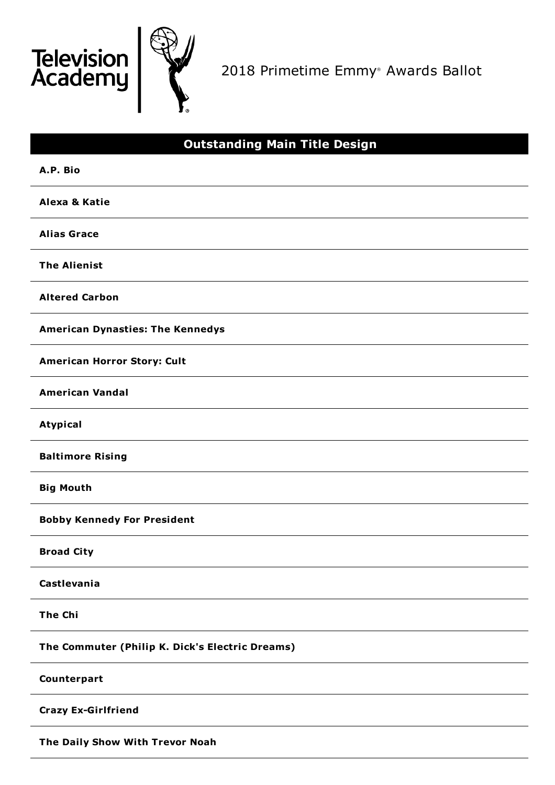

2018 Primetime Emmy ® Awards Ballot

# **Outstanding Main Title Design A.P. Bio Alexa & Katie Alias Grace The Alienist Altered Carbon American Dynasties: The Kennedys American Horror Story: Cult American Vandal Atypical Baltimore Rising Big Mouth Bobby Kennedy For President Broad City Castlevania The Chi The Commuter (Philip K. Dick's Electric Dreams) Counterpart Crazy Ex-Girlfriend The Daily Show With Trevor Noah**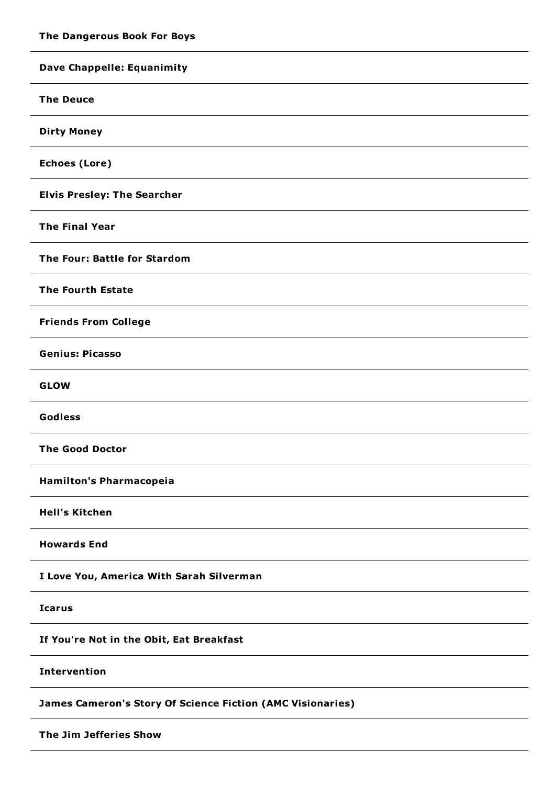| Dave Chappelle: Equanimity                                        |
|-------------------------------------------------------------------|
| <b>The Deuce</b>                                                  |
| <b>Dirty Money</b>                                                |
| <b>Echoes (Lore)</b>                                              |
| <b>Elvis Presley: The Searcher</b>                                |
| <b>The Final Year</b>                                             |
| The Four: Battle for Stardom                                      |
| <b>The Fourth Estate</b>                                          |
| <b>Friends From College</b>                                       |
| <b>Genius: Picasso</b>                                            |
| <b>GLOW</b>                                                       |
| Godless                                                           |
| <b>The Good Doctor</b>                                            |
| <b>Hamilton's Pharmacopeia</b>                                    |
| <b>Hell's Kitchen</b>                                             |
| <b>Howards End</b>                                                |
| I Love You, America With Sarah Silverman                          |
| <b>Icarus</b>                                                     |
| If You're Not in the Obit, Eat Breakfast                          |
| <b>Intervention</b>                                               |
| <b>James Cameron's Story Of Science Fiction (AMC Visionaries)</b> |
| The Jim Jefferies Show                                            |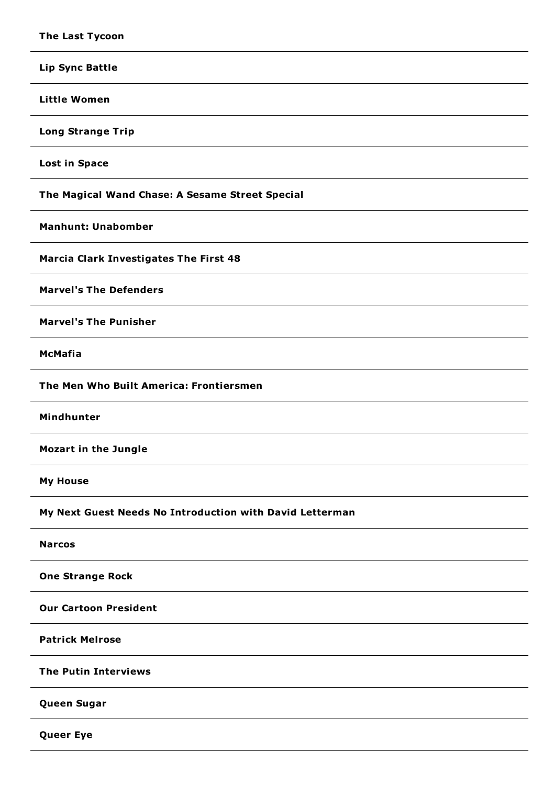| <b>Lip Sync Battle</b>                                   |
|----------------------------------------------------------|
| <b>Little Women</b>                                      |
| <b>Long Strange Trip</b>                                 |
| <b>Lost in Space</b>                                     |
| The Magical Wand Chase: A Sesame Street Special          |
| <b>Manhunt: Unabomber</b>                                |
| <b>Marcia Clark Investigates The First 48</b>            |
| <b>Marvel's The Defenders</b>                            |
| <b>Marvel's The Punisher</b>                             |
| <b>McMafia</b>                                           |
| The Men Who Built America: Frontiersmen                  |
|                                                          |
| Mindhunter                                               |
| <b>Mozart in the Jungle</b>                              |
| <b>My House</b>                                          |
| My Next Guest Needs No Introduction with David Letterman |
| <b>Narcos</b>                                            |
| <b>One Strange Rock</b>                                  |
| <b>Our Cartoon President</b>                             |
| <b>Patrick Melrose</b>                                   |
| <b>The Putin Interviews</b>                              |
| Queen Sugar                                              |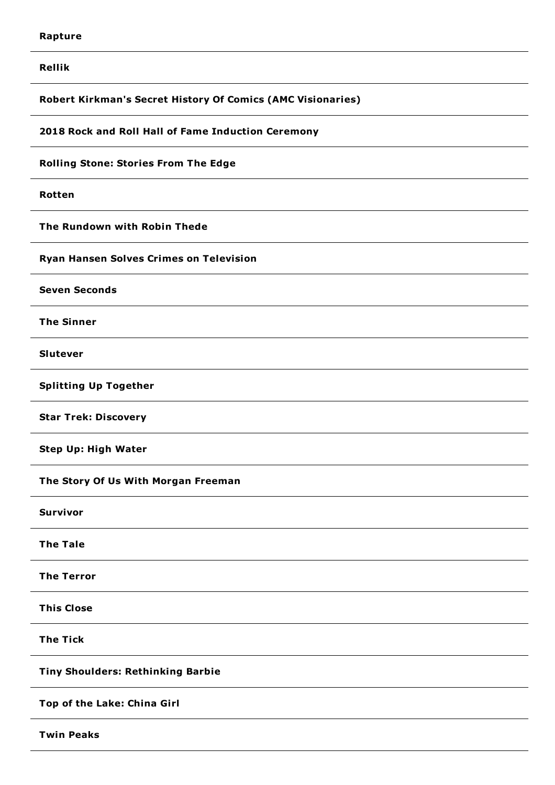**Rellik**

**Robert Kirkman's Secret History Of Comics (AMC Visionaries)**

**2018 Rock and Roll Hall of Fame Induction Ceremony**

**Rolling Stone: Stories From The Edge**

**Rotten**

**The Rundown with Robin Thede**

**Ryan Hansen Solves Crimes on Television**

**Seven Seconds**

**The Sinner**

**Slutever**

**Splitting Up Together**

**Star Trek: Discovery**

**Step Up: High Water**

**The Story Of Us With Morgan Freeman**

**Survivor**

**The Tale**

**The Terror**

**This Close**

**The Tick**

**Tiny Shoulders: Rethinking Barbie**

**Top of the Lake: China Girl**

**Twin Peaks**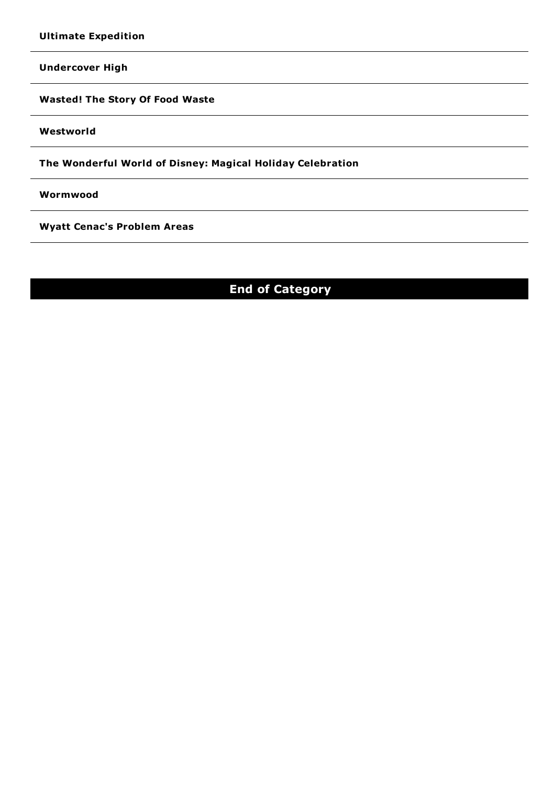**Undercover High**

**Wasted! The Story Of Food Waste**

**Westworld**

**The Wonderful World of Disney: Magical Holiday Celebration**

**Wormwood**

**Wyatt Cenac's Problem Areas**

## **End of Category**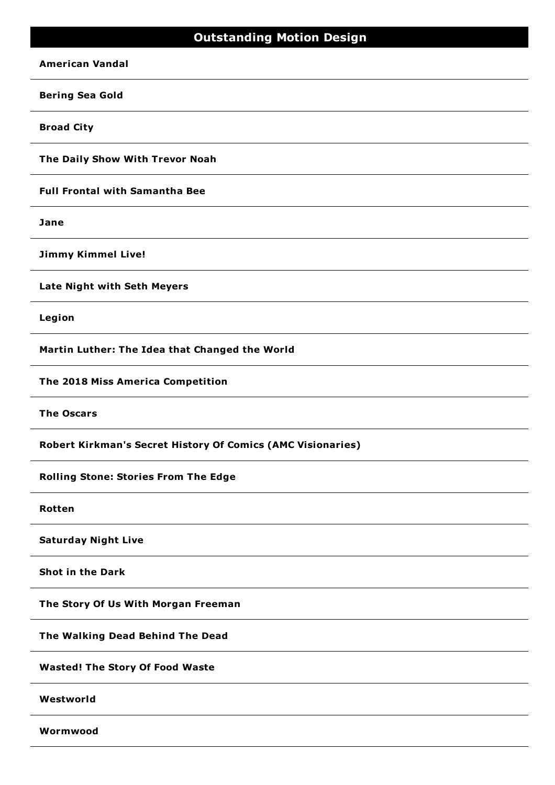### **Outstanding Motion Design**

#### **American Vandal**

#### **Bering Sea Gold**

**Broad City**

**The Daily Show With Trevor Noah**

**Full Frontal with Samantha Bee**

**Jane**

**Jimmy Kimmel Live!**

**Late Night with Seth Meyers**

**Legion**

**Martin Luther: The Idea that Changed the World**

**The 2018 Miss America Competition**

**The Oscars**

**Robert Kirkman's Secret History Of Comics (AMC Visionaries)**

**Rolling Stone: Stories From The Edge**

**Rotten**

**Saturday Night Live**

**Shot in the Dark**

**The Story Of Us With Morgan Freeman**

**The Walking Dead Behind The Dead**

**Wasted! The Story Of Food Waste**

**Westworld**

**Wormwood**